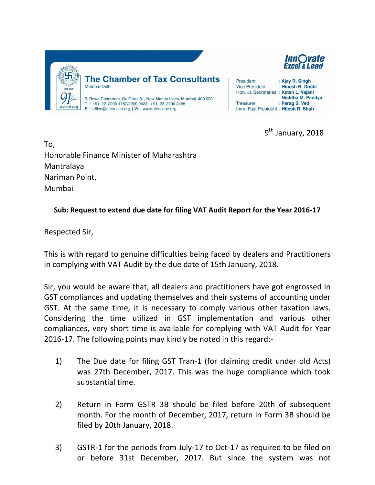

9<sup>th</sup> January, 2018

To, Honorable Finance Minister of Maharashtra Mantralaya Nariman Point, Mumbai

## **Sub: Request to extend due date for filing VAT Audit Report for the Year 2016-17**

Respected Sir,

This is with regard to genuine difficulties being faced by dealers and Practitioners in complying with VAT Audit by the due date of 15th January, 2018.

Sir, you would be aware that, all dealers and practitioners have got engrossed in GST compliances and updating themselves and their systems of accounting under GST. At the same time, it is necessary to comply various other taxation laws. Considering the time utilized in GST implementation and various other compliances, very short time is available for complying with VAT Audit for Year 2016-17. The following points may kindly be noted in this regard:-

- 1) The Due date for filing GST Tran-1 (for claiming credit under old Acts) was 27th December, 2017. This was the huge compliance which took substantial time.
- 2) Return in Form GSTR 3B should be filed before 20th of subsequent month. For the month of December, 2017, return in Form 3B should be filed by 20th January, 2018.
- 3) GSTR-1 for the periods from July-17 to Oct-17 as required to be filed on or before 31st December, 2017. But since the system was not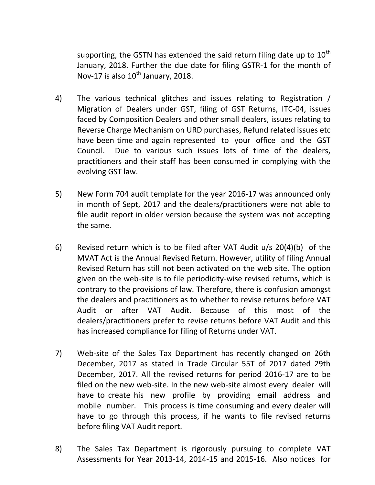supporting, the GSTN has extended the said return filing date up to  $10^{th}$ January, 2018. Further the due date for filing GSTR-1 for the month of Nov-17 is also  $10^{th}$  January, 2018.

- 4) The various technical glitches and issues relating to Registration / Migration of Dealers under GST, filing of GST Returns, ITC-04, issues faced by Composition Dealers and other small dealers, issues relating to Reverse Charge Mechanism on URD purchases, Refund related issues etc have been time and again represented to your office and the GST Council. Due to various such issues lots of time of the dealers, practitioners and their staff has been consumed in complying with the evolving GST law.
- 5) New Form 704 audit template for the year 2016-17 was announced only in month of Sept, 2017 and the dealers/practitioners were not able to file audit report in older version because the system was not accepting the same.
- 6) Revised return which is to be filed after VAT 4udit u/s 20(4)(b) of the MVAT Act is the Annual Revised Return. However, utility of filing Annual Revised Return has still not been activated on the web site. The option given on the web-site is to file periodicity-wise revised returns, which is contrary to the provisions of law. Therefore, there is confusion amongst the dealers and practitioners as to whether to revise returns before VAT Audit or after VAT Audit. Because of this most of the dealers/practitioners prefer to revise returns before VAT Audit and this has increased compliance for filing of Returns under VAT.
- 7) Web-site of the Sales Tax Department has recently changed on 26th December, 2017 as stated in Trade Circular 55T of 2017 dated 29th December, 2017. All the revised returns for period 2016-17 are to be filed on the new web-site. In the new web-site almost every dealer will have to create his new profile by providing email address and mobile number. This process is time consuming and every dealer will have to go through this process, if he wants to file revised returns before filing VAT Audit report.
- 8) The Sales Tax Department is rigorously pursuing to complete VAT Assessments for Year 2013-14, 2014-15 and 2015-16. Also notices for